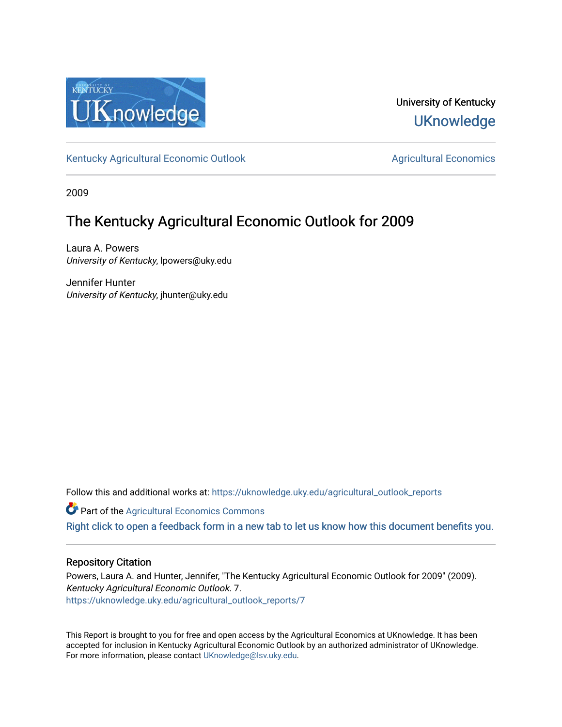

University of Kentucky **UKnowledge** 

[Kentucky Agricultural Economic Outlook](https://uknowledge.uky.edu/agricultural_outlook_reports) [Agricultural Economics](https://uknowledge.uky.edu/agecon) Agricultural Economics

2009

# The Kentucky Agricultural Economic Outlook for 2009

Laura A. Powers University of Kentucky, lpowers@uky.edu

Jennifer Hunter University of Kentucky, jhunter@uky.edu

Follow this and additional works at: [https://uknowledge.uky.edu/agricultural\\_outlook\\_reports](https://uknowledge.uky.edu/agricultural_outlook_reports?utm_source=uknowledge.uky.edu%2Fagricultural_outlook_reports%2F7&utm_medium=PDF&utm_campaign=PDFCoverPages) 

**Part of the Agricultural Economics Commons** 

[Right click to open a feedback form in a new tab to let us know how this document benefits you.](https://uky.az1.qualtrics.com/jfe/form/SV_9mq8fx2GnONRfz7)

# Repository Citation

Powers, Laura A. and Hunter, Jennifer, "The Kentucky Agricultural Economic Outlook for 2009" (2009). Kentucky Agricultural Economic Outlook. 7. [https://uknowledge.uky.edu/agricultural\\_outlook\\_reports/7](https://uknowledge.uky.edu/agricultural_outlook_reports/7?utm_source=uknowledge.uky.edu%2Fagricultural_outlook_reports%2F7&utm_medium=PDF&utm_campaign=PDFCoverPages) 

This Report is brought to you for free and open access by the Agricultural Economics at UKnowledge. It has been accepted for inclusion in Kentucky Agricultural Economic Outlook by an authorized administrator of UKnowledge. For more information, please contact [UKnowledge@lsv.uky.edu.](mailto:UKnowledge@lsv.uky.edu)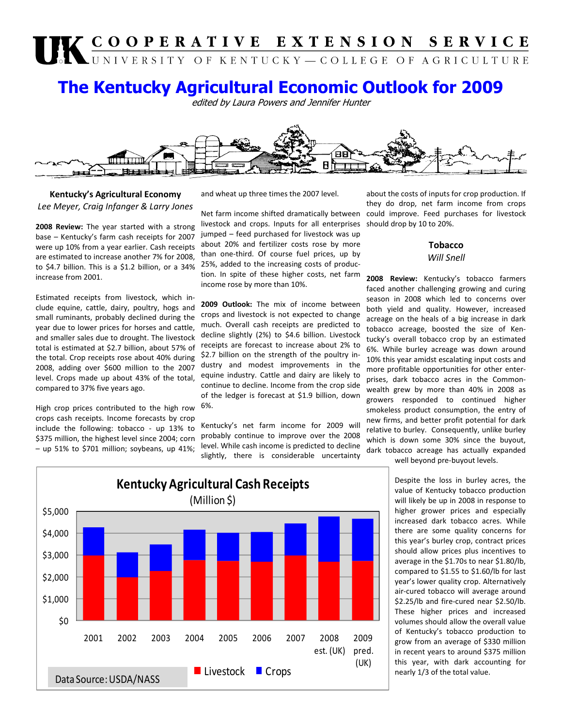# UK COOPERATIVE EXTENSION SERVICE

# **The Kentucky Agricultural Economic Outlook for 2009**

edited by Laura Powers and Jennifer Hunter



## **Kentucky's Agricultural Economy**  *Lee Meyer, Craig Infanger & Larry Jones*

**2008 Review:** The year started with a strong base – Kentucky's farm cash receipts for 2007 were up 10% from a year earlier. Cash receipts are estimated to increase another 7% for 2008, to \$4.7 billion. This is a \$1.2 billion, or a 34% increase from 2001.

Estimated receipts from livestock, which include equine, cattle, dairy, poultry, hogs and small ruminants, probably declined during the year due to lower prices for horses and cattle, and smaller sales due to drought. The livestock total is estimated at \$2.7 billion, about 57% of the total. Crop receipts rose about 40% during 2008, adding over \$600 million to the 2007 level. Crops made up about 43% of the total, compared to 37% five years ago.

High crop prices contributed to the high row crops cash receipts. Income forecasts by crop include the following: tobacco - up 13% to \$375 million, the highest level since 2004; corn – up 51% to \$701 million; soybeans, up 41%; and wheat up three times the 2007 level.

Net farm income shifted dramatically between livestock and crops. Inputs for all enterprises jumped – feed purchased for livestock was up about 20% and fertilizer costs rose by more than one-third. Of course fuel prices, up by 25%, added to the increasing costs of production. In spite of these higher costs, net farm income rose by more than 10%.

**2009 Outlook:** The mix of income between crops and livestock is not expected to change much. Overall cash receipts are predicted to decline slightly (2%) to \$4.6 billion. Livestock receipts are forecast to increase about 2% to \$2.7 billion on the strength of the poultry industry and modest improvements in the equine industry. Cattle and dairy are likely to continue to decline. Income from the crop side of the ledger is forecast at \$1.9 billion, down 6%.

Kentucky's net farm income for 2009 will probably continue to improve over the 2008 level. While cash income is predicted to decline slightly, there is considerable uncertainty

about the costs of inputs for crop production. If they do drop, net farm income from crops could improve. Feed purchases for livestock should drop by 10 to 20%.

# **Tobacco**

# *Will Snell*

**2008 Review:** Kentucky's tobacco farmers faced another challenging growing and curing season in 2008 which led to concerns over both yield and quality. However, increased acreage on the heals of a big increase in dark tobacco acreage, boosted the size of Kentucky's overall tobacco crop by an estimated 6%. While burley acreage was down around 10% this year amidst escalating input costs and more profitable opportunities for other enterprises, dark tobacco acres in the Commonwealth grew by more than 40% in 2008 as growers responded to continued higher smokeless product consumption, the entry of new firms, and better profit potential for dark relative to burley. Consequently, unlike burley which is down some 30% since the buyout, dark tobacco acreage has actually expanded

well beyond pre-buyout levels.

Despite the loss in burley acres, the value of Kentucky tobacco production will likely be up in 2008 in response to higher grower prices and especially increased dark tobacco acres. While there are some quality concerns for this year's burley crop, contract prices should allow prices plus incentives to average in the \$1.70s to near \$1.80/lb, compared to \$1.55 to \$1.60/lb for last year's lower quality crop. Alternatively air-cured tobacco will average around \$2.25/lb and fire-cured near \$2.50/lb. These higher prices and increased volumes should allow the overall value of Kentucky's tobacco production to grow from an average of \$330 million in recent years to around \$375 million this year, with dark accounting for nearly 1/3 of the total value.

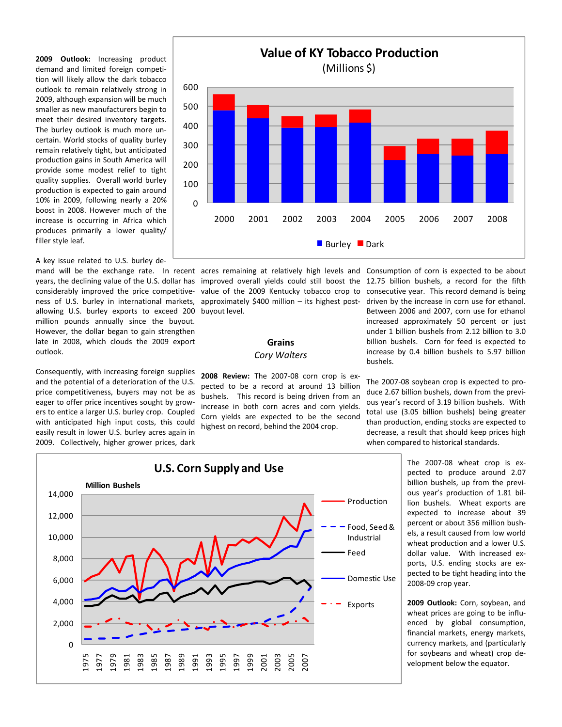**2009 Outlook:** Increasing product demand and limited foreign competition will likely allow the dark tobacco outlook to remain relatively strong in 2009, although expansion will be much smaller as new manufacturers begin to meet their desired inventory targets. The burley outlook is much more uncertain. World stocks of quality burley remain relatively tight, but anticipated production gains in South America will provide some modest relief to tight quality supplies. Overall world burley production is expected to gain around 10% in 2009, following nearly a 20% boost in 2008. However much of the increase is occurring in Africa which produces primarily a lower quality/ filler style leaf.

A key issue related to U.S. burley deyears, the declining value of the U.S. dollar has considerably improved the price competitiveness of U.S. burley in international markets, allowing U.S. burley exports to exceed 200 buyout level. million pounds annually since the buyout. However, the dollar began to gain strengthen late in 2008, which clouds the 2009 export outlook.

Consequently, with increasing foreign supplies and the potential of a deterioration of the U.S. price competitiveness, buyers may not be as eager to offer price incentives sought by growers to entice a larger U.S. burley crop. Coupled with anticipated high input costs, this could easily result in lower U.S. burley acres again in 2009. Collectively, higher grower prices, dark



mand will be the exchange rate. In recent acres remaining at relatively high levels and Consumption of corn is expected to be about improved overall yields could still boost the value of the 2009 Kentucky tobacco crop to approximately \$400 million – its highest post-

### **Grains**  *Cory Walters*

**2008 Review:** The 2007-08 corn crop is expected to be a record at around 13 billion bushels. This record is being driven from an increase in both corn acres and corn yields. Corn yields are expected to be the second highest on record, behind the 2004 crop.

12.75 billion bushels, a record for the fifth consecutive year. This record demand is being driven by the increase in corn use for ethanol. Between 2006 and 2007, corn use for ethanol increased approximately 50 percent or just under 1 billion bushels from 2.12 billion to 3.0 billion bushels. Corn for feed is expected to increase by 0.4 billion bushels to 5.97 billion bushels.

The 2007-08 soybean crop is expected to produce 2.67 billion bushels, down from the previous year's record of 3.19 billion bushels. With total use (3.05 billion bushels) being greater than production, ending stocks are expected to decrease, a result that should keep prices high when compared to historical standards.



The 2007-08 wheat crop is expected to produce around 2.07 billion bushels, up from the previous year's production of 1.81 billion bushels. Wheat exports are expected to increase about 39 percent or about 356 million bushels, a result caused from low world wheat production and a lower U.S. dollar value. With increased exports, U.S. ending stocks are expected to be tight heading into the 2008-09 crop year.

**2009 Outlook:** Corn, soybean, and wheat prices are going to be influenced by global consumption, financial markets, energy markets, currency markets, and (particularly for soybeans and wheat) crop development below the equator.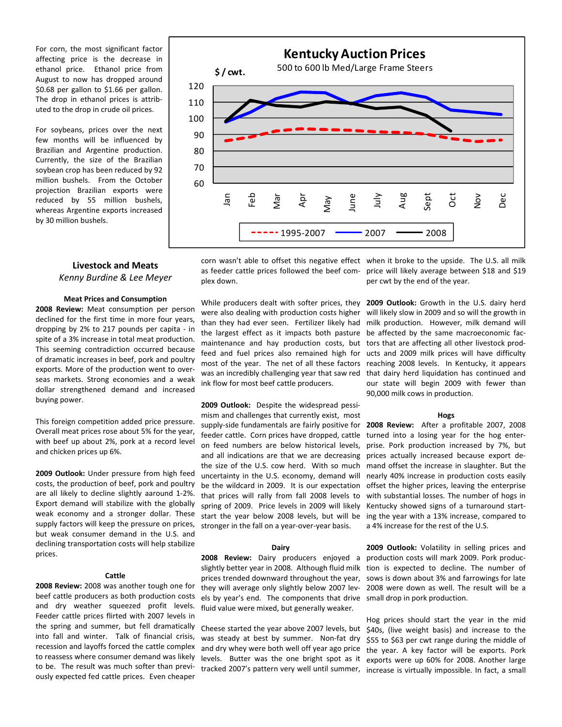For corn, the most significant factor affecting price is the decrease in ethanol price. Ethanol price from August to now has dropped around \$0.68 per gallon to \$1.66 per gallon. The drop in ethanol prices is attributed to the drop in crude oil prices.

For soybeans, prices over the next few months will be influenced by Brazilian and Argentine production. Currently, the size of the Brazilian soybean crop has been reduced by 92 million bushels. From the October projection Brazilian exports were reduced by 55 million bushels, whereas Argentine exports increased by 30 million bushels.

# **Livestock and Meats**  *Kenny Burdine & Lee Meyer*

#### **Meat Prices and Consumption**

**2008 Review:** Meat consumption per person declined for the first time in more four years, dropping by 2% to 217 pounds per capita - in spite of a 3% increase in total meat production. This seeming contradiction occurred because of dramatic increases in beef, pork and poultry exports. More of the production went to overseas markets. Strong economies and a weak dollar strengthened demand and increased buying power.

This foreign competition added price pressure. Overall meat prices rose about 5% for the year, with beef up about 2%, pork at a record level and chicken prices up 6%.

**2009 Outlook:** Under pressure from high feed costs, the production of beef, pork and poultry are all likely to decline slightly aaround 1-2%. Export demand will stabilize with the globally weak economy and a stronger dollar. These supply factors will keep the pressure on prices, but weak consumer demand in the U.S. and declining transportation costs will help stabilize prices.

#### **Cattle**

**2008 Review:** 2008 was another tough one for beef cattle producers as both production costs and dry weather squeezed profit levels. Feeder cattle prices flirted with 2007 levels in the spring and summer, but fell dramatically into fall and winter. Talk of financial crisis, recession and layoffs forced the cattle complex to reassess where consumer demand was likely to be. The result was much softer than previously expected fed cattle prices. Even cheaper



as feeder cattle prices followed the beef complex down.

While producers dealt with softer prices, they were also dealing with production costs higher than they had ever seen. Fertilizer likely had the largest effect as it impacts both pasture maintenance and hay production costs, but feed and fuel prices also remained high for most of the year. The net of all these factors was an incredibly challenging year that saw red ink flow for most beef cattle producers.

**2009 Outlook:** Despite the widespread pessimism and challenges that currently exist, most supply-side fundamentals are fairly positive for feeder cattle. Corn prices have dropped, cattle on feed numbers are below historical levels, and all indications are that we are decreasing the size of the U.S. cow herd. With so much uncertainty in the U.S. economy, demand will be the wildcard in 2009. It is our expectation that prices will rally from fall 2008 levels to spring of 2009. Price levels in 2009 will likely start the year below 2008 levels, but will be stronger in the fall on a year-over-year basis.

#### **Dairy**

**2008 Review:** Dairy producers enjoyed a slightly better year in 2008. Although fluid milk prices trended downward throughout the year, they will average only slightly below 2007 levels by year's end. The components that drive fluid value were mixed, but generally weaker.

Cheese started the year above 2007 levels, but was steady at best by summer. Non-fat dry and dry whey were both well off year ago price levels. Butter was the one bright spot as it tracked 2007's pattern very well until summer,

corn wasn't able to offset this negative effect when it broke to the upside. The U.S. all milk price will likely average between \$18 and \$19 per cwt by the end of the year.

> **2009 Outlook:** Growth in the U.S. dairy herd will likely slow in 2009 and so will the growth in milk production. However, milk demand will be affected by the same macroeconomic factors that are affecting all other livestock products and 2009 milk prices will have difficulty reaching 2008 levels. In Kentucky, it appears that dairy herd liquidation has continued and our state will begin 2009 with fewer than 90,000 milk cows in production.

#### **Hogs**

**2008 Review:** After a profitable 2007, 2008 turned into a losing year for the hog enterprise. Pork production increased by 7%, but prices actually increased because export demand offset the increase in slaughter. But the nearly 40% increase in production costs easily offset the higher prices, leaving the enterprise with substantial losses. The number of hogs in Kentucky showed signs of a turnaround starting the year with a 13% increase, compared to a 4% increase for the rest of the U.S.

**2009 Outlook:** Volatility in selling prices and production costs will mark 2009. Pork production is expected to decline. The number of sows is down about 3% and farrowings for late 2008 were down as well. The result will be a small drop in pork production.

Hog prices should start the year in the mid \$40s, (live weight basis) and increase to the \$55 to \$63 per cwt range during the middle of the year. A key factor will be exports. Pork exports were up 60% for 2008. Another large increase is virtually impossible. In fact, a small